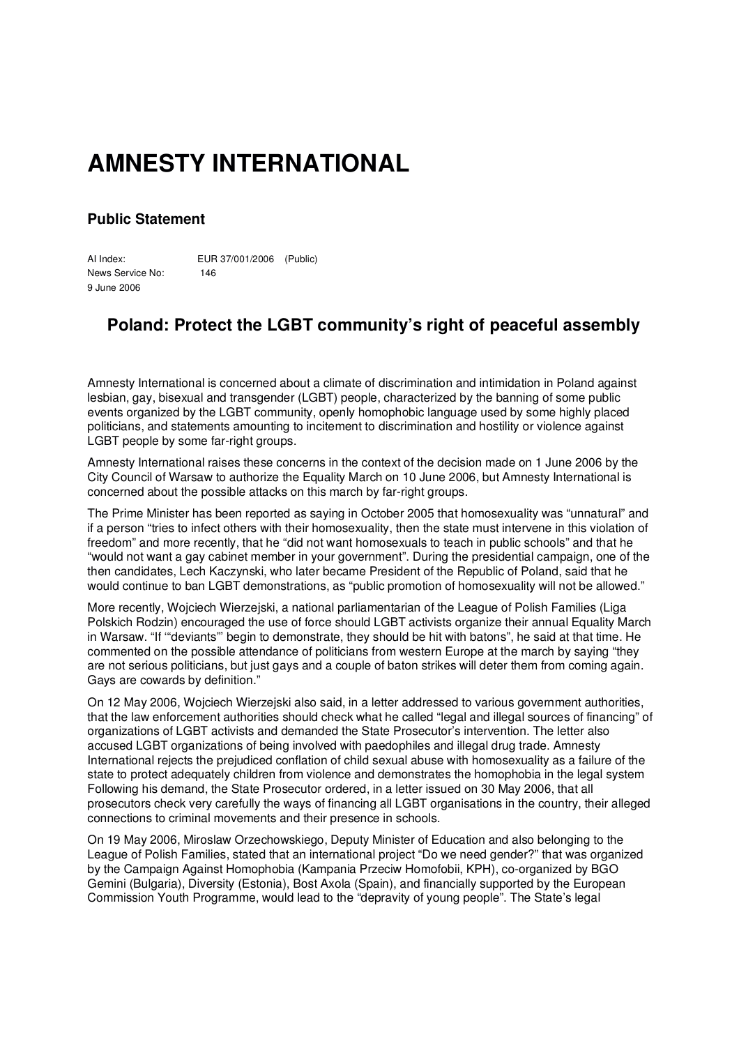## **AMNESTY INTERNATIONAL**

## **Public Statement**

AI Index: EUR 37/001/2006 (Public) News Service No: 146 9 June 2006

## **Poland: Protect the LGBT community's right of peaceful assembly**

Amnesty International is concerned about a climate of discrimination and intimidation in Poland against lesbian, gay, bisexual and transgender (LGBT) people, characterized by the banning of some public events organized by the LGBT community, openly homophobic language used by some highly placed politicians, and statements amounting to incitement to discrimination and hostility or violence against LGBT people by some far-right groups.

Amnesty International raises these concerns in the context of the decision made on 1 June 2006 by the City Council of Warsaw to authorize the Equality March on 10 June 2006, but Amnesty International is concerned about the possible attacks on this march by far-right groups.

The Prime Minister has been reported as saying in October 2005 that homosexuality was "unnatural" and if a person "tries to infect others with their homosexuality, then the state must intervene in this violation of freedom" and more recently, that he "did not want homosexuals to teach in public schools" and that he "would not want a gay cabinet member in your government". During the presidential campaign, one of the then candidates, Lech Kaczynski, who later became President of the Republic of Poland, said that he would continue to ban LGBT demonstrations, as "public promotion of homosexuality will not be allowed."

More recently, Wojciech Wierzejski, a national parliamentarian of the League of Polish Families (Liga Polskich Rodzin) encouraged the use of force should LGBT activists organize their annual Equality March in Warsaw. "If '"deviants"' begin to demonstrate, they should be hit with batons", he said at that time. He commented on the possible attendance of politicians from western Europe at the march by saying "they are not serious politicians, but just gays and a couple of baton strikes will deter them from coming again. Gays are cowards by definition."

On 12 May 2006, Wojciech Wierzejski also said, in a letter addressed to various government authorities, that the law enforcement authorities should check what he called "legal and illegal sources of financing" of organizations of LGBT activists and demanded the State Prosecutor's intervention. The letter also accused LGBT organizations of being involved with paedophiles and illegal drug trade. Amnesty International rejects the prejudiced conflation of child sexual abuse with homosexuality as a failure of the state to protect adequately children from violence and demonstrates the homophobia in the legal system Following his demand, the State Prosecutor ordered, in a letter issued on 30 May 2006, that all prosecutors check very carefully the ways of financing all LGBT organisations in the country, their alleged connections to criminal movements and their presence in schools.

On 19 May 2006, Miroslaw Orzechowskiego, Deputy Minister of Education and also belonging to the League of Polish Families, stated that an international project "Do we need gender?" that was organized by the Campaign Against Homophobia (Kampania Przeciw Homofobii, KPH), co-organized by BGO Gemini (Bulgaria), Diversity (Estonia), Bost Axola (Spain), and financially supported by the European Commission Youth Programme, would lead to the "depravity of young people". The State's legal